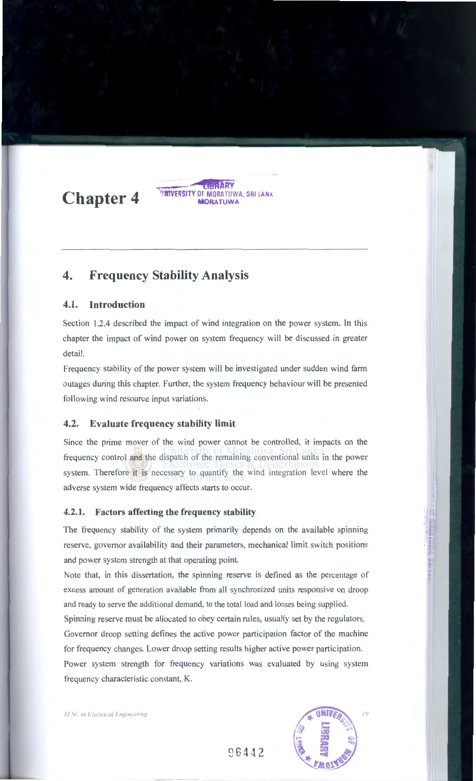**Chapter 4** 

# **4. Frequency Stability Analysis**

# **4.1. Introduction**

Section 1.2.4 described the impact of wind integration on the power system. In this chapter the impact of wind power on system frequency will be discussed in greater detail.

**ARY ''JNTVERSITY** OF MORATUWA. SRI LA NK **MORATUWA** 

Frequency stability of the power system will be investigated under sudden wind farm outages during this chapter. Further, the system frequency behaviour will be presented following wind resource input variations.

# **4.2. Evaluate frequency stability limit**

Since the prime mover of the wind power cannot be controlled, it impacts on the frequency control and the dispatch of the remaining conventional units in the power system. Therefore it is necessary to quantify the wind integration level where the adverse system wide frequency affects starts to occur.

#### **4.2.1. Factors affecting the frequency stability**

The frequency stability of the system primarily depends on the available spinning reserve, governor availability and their parameters, mechanical limit switch positions and power system strength at that operating point.

Note that, in this dissertation, the spinning reserve is defined as the percentage of excess amount of generation available from all synchronized units responsive on droop and ready to serve the additional demand, to the total load and losses being supplied.

Spinning reserve must be allocated to obey certain rules, usually set by the regulators. Governor droop setting defines the active power participation factor of the machine

for frequency changes. Lower droop setting results higher active power participation.

Power system strength for frequency variations was evaluated by using system frequency characteristic constant, K.

M.Sc. in Electrical Engineering



~6442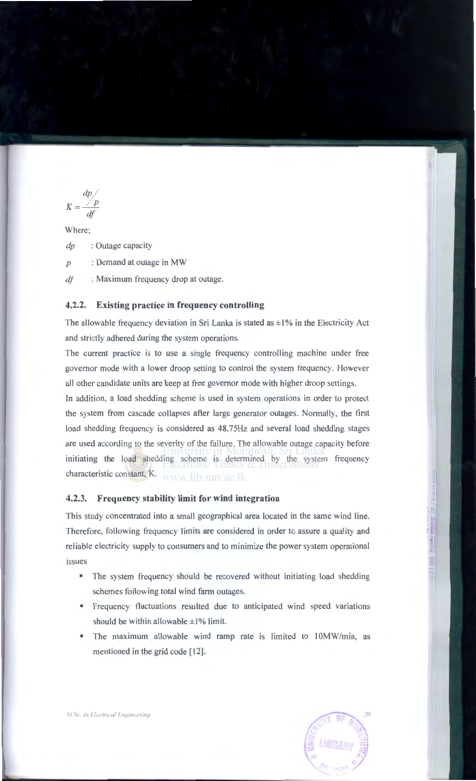$$
K = \frac{dp}{df}
$$

Where;

*dp* :Outage capacity

*p* : Demand at outage in MW

*dj* : Maximum frequency drop at outage.

# **4.2.2. Existing practice in frequency controlling**

The allowable frequency deviation in Sri Lanka is stated as  $\pm 1\%$  in the Electricity Act and strictly adhered during the system operations.

The current practice is to use a single frequency controlling machine under free governor mode with a lower droop setting to control the system frequency. However all other candidate units are keep at free governor mode with higher droop settings.

In addition, a load shedding scheme is used in system operations in order to protect the system from cascade collapses after large generator outages. Normally, the first load shedding frequency is considered as 48.75Hz and several load shedding stages are used according to the severity of the failure. The allowable outage capacity before initiating the load shedding scheme is determined by the system frequency characteristic constant, K. www.lib.mrt.ac.lk

## **4.2.3. Frequency stability limit for wind integration**

This study concentrated into a small geographical area located in the same wind line. Therefore, following frequency limits are considered in order to assure a quality and reliable electricity supply to consumers and to minimize the power system operational issues

- The system frequency should be recovered without initiating load shedding schemes following total wind farm outages.
- Frequency fluctuations resulted due to anticipated wind speed variations should be within allowable  $\pm 1\%$  limit.
- The maximum allowable wind ramp rate is limited to 10MW/min, as mentioned in the grid code [12].



 $\overline{M}$ . Sc. in Electrical Engineering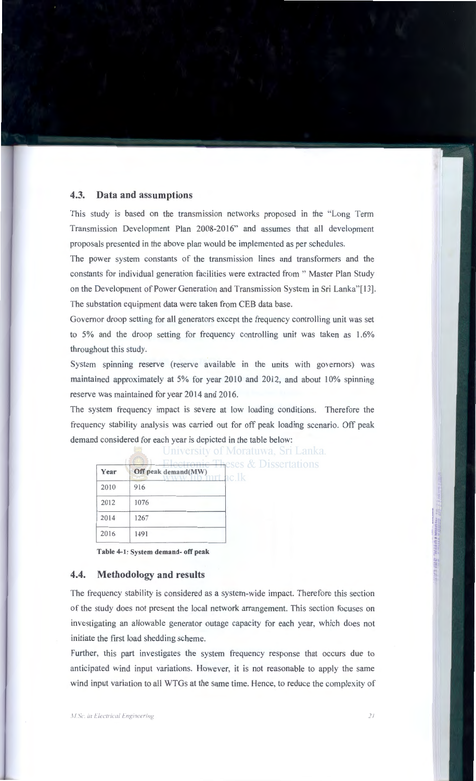#### 4.3. Data and assumptions

This study is based on the transmission networks proposed in the "Long Term Transmission Development Plan 2008-2016" and assumes that all development proposals presented in the above plan would be implemented as per schedules.

The power system constants of the transmission lines and transformers and the constants for individual generation facilities were extracted from " Master Plan Study on the Development of Power Generation and Transmission System in Sri Lanka"[ 13]. The substation equipment data were taken from CEB data base.

Governor droop setting for all generators except the frequency controlling unit was set to 5% and the droop setting for frequency controlling unit was taken as 1.6% throughout this study.

System spinning reserve (reserve available in the units with governors) was maintained approximately at 5% for year 2010 and 2012, and about 10% spinning reserve was maintained for year 2014 and 2016.

The system frequency impact is severe at low loading conditions. Therefore the frequency stability analysis was carried out for off peak loading scenario. Off peak demand considered for each year is depicted in the table below:

|                     | UIIIVEISIIV OI IVIOITIUWA, DIT |
|---------------------|--------------------------------|
| Off peak demand(MW) | ac.1k                          |
| 916                 |                                |
| 1076                |                                |
| 1267                |                                |
| 1491                |                                |
|                     | Electronic Theses & Disserta   |

Table 4-1: System demand- off peak

#### 4.4. Methodology and results

The frequency stability is considered as a system-wide impact. Therefore this section of the study does not present the local network arrangement. This section focuses on investigating an allowable generator outage capacity for each year, which does not initiate the first load shedding scheme.

Further, this part investigates the system frequency response that occurs due to anticipated wind input variations. However, it is not reasonable to apply the same wind input variation to all WTGs at the same time. Hence, to reduce the complexity of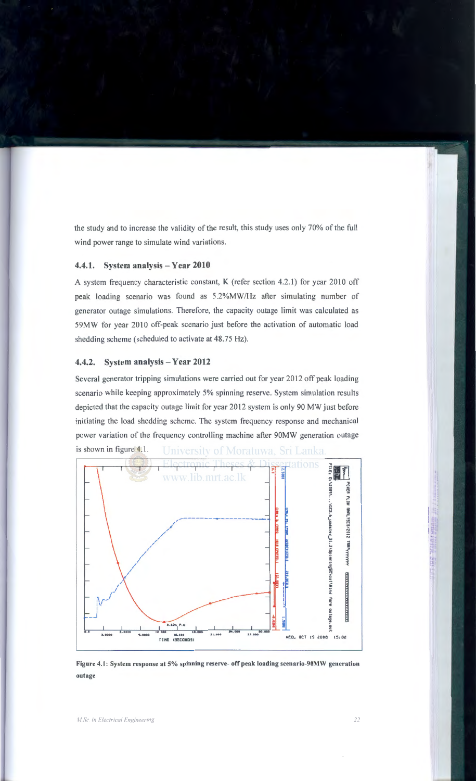the study and to increase the validity of the result, this study uses only 70% of the full wind power range to simulate wind variations.

### **4.4.1.** System analysis- Year 2010

A system frequency characteristic constant, K (refer section 4.2.1) for year 2010 off peak loading scenario was found as 5.2%MW/Hz after simulating number of generator outage simulations. Therefore, the capacity outage limit was calculated as 59MW for year 2010 off-peak scenario just before the activation of automatic load shedding scheme (scheduled to activate at 48.75 Hz).

#### 4.4.2. System analysis – Year 2012

Several generator tripping simulations were carried out for year 2012 off peak loading scenario while keeping approximately 5% spinning reserve. System simulation results depicted that the capacity outage limit for year 2012 system is only 90 MW just before initiating the load shedding scheme. The system frequency response and mechanical power variation of the frequency controlling machine after 90MW generation outage is shown in figure 4.1 . University of Moratuwa, Sri Lanka.



Figure 4.1: System response at 5% spinning reserve- off peak loading scenario-90MW generation outage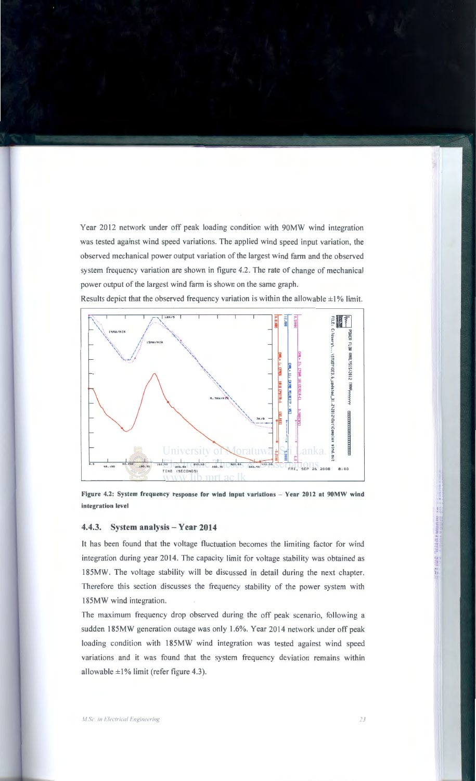Year 2012 network under off peak loading condition with 90MW wind integration was tested against wind speed variations. The applied wind speed input variation, the observed mechanical power output variation of the largest wind farm and the observed system frequency variation are shown in figure 4.2. The rate of change of mechanical power output of the largest wind farm is shown on the same graph.

Results depict that the observed frequency variation is within the allowable  $\pm 1\%$  limit.



Figure 4.2: System frequency response for wind input variations - Year 2012 at 90MW wind integration level

#### 4.4.3. System analysis- Year 2014

It has been found that the voltage fluctuation becomes the limiting factor for wind integration during year 2014. The capacity limit for voltage stability was obtained as 185MW. The voltage stability will be discussed in detail during the next chapter. Therefore this section discusses the frequency stability of the power system with 185MW wind integration.

The maximum frequency drop observed during the off peak scenario, following a sudden 185MW generation outage was only 1.6%. Year 2014 network under off peak loading condition with 185MW wind integration was tested against wind speed variations and it was found that the system frequency deviation remains within allowable  $\pm 1\%$  limit (refer figure 4.3).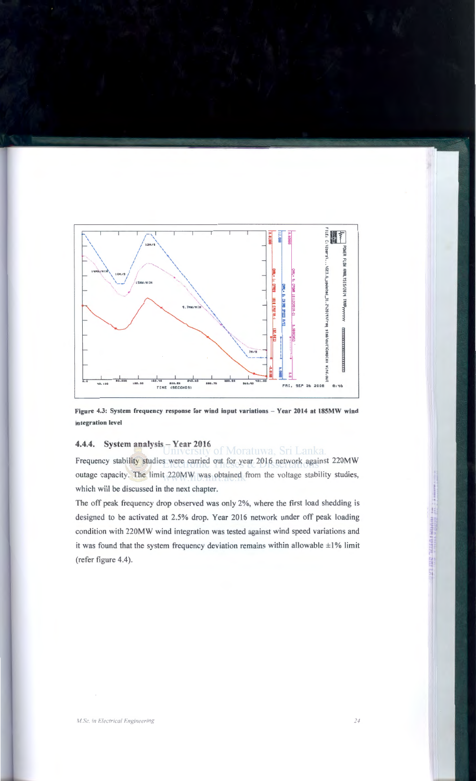

Figure 4.3: System frequency response for wind input variations- Year 2014 at 185MW wind integration level

# 4.4.4. System analysis Truversity of Moratuwa, Sri Lanka.

Frequency stability studies were carried out for year 2016 network against 220MW outage capacity. The limit 220MW was obtained from the voltage stability studies, which will be discussed in the next chapter.

The off peak frequency drop observed was only 2%, where the first load shedding is designed to be activated at 2.5% drop. Year 2016 network under off peak loading condition with 220MW wind integration was tested against wind speed variations and it was found that the system frequency deviation remains within allowable  $\pm 1\%$  limit (refer figure 4.4).